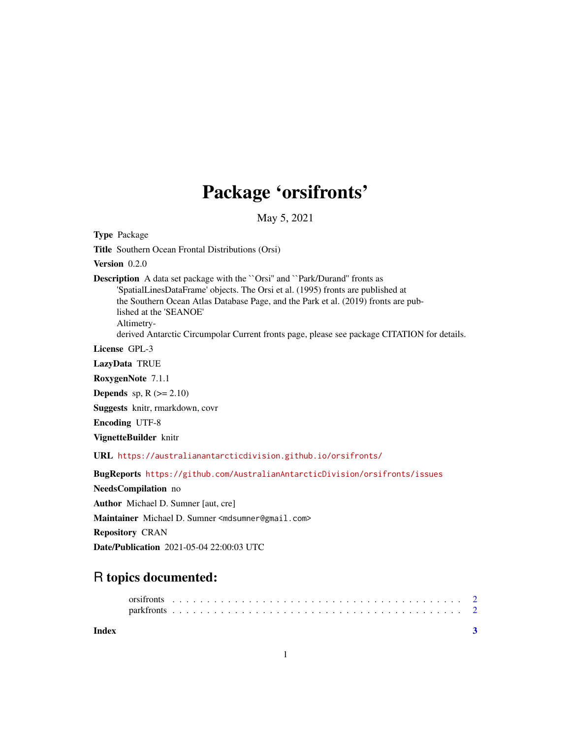## Package 'orsifronts'

May 5, 2021

<span id="page-0-0"></span>Type Package

Title Southern Ocean Frontal Distributions (Orsi)

Version 0.2.0

Description A data set package with the "Orsi" and "Park/Durand" fronts as 'SpatialLinesDataFrame' objects. The Orsi et al. (1995) fronts are published at the Southern Ocean Atlas Database Page, and the Park et al. (2019) fronts are published at the 'SEANOE' Altimetry-

derived Antarctic Circumpolar Current fronts page, please see package CITATION for details.

License GPL-3

LazyData TRUE

RoxygenNote 7.1.1

**Depends** sp,  $R$  ( $>= 2.10$ )

Suggests knitr, rmarkdown, covr

Encoding UTF-8

VignetteBuilder knitr

URL <https://australianantarcticdivision.github.io/orsifronts/>

BugReports <https://github.com/AustralianAntarcticDivision/orsifronts/issues>

NeedsCompilation no

Author Michael D. Sumner [aut, cre]

Maintainer Michael D. Sumner <mdsumner@gmail.com>

Repository CRAN

Date/Publication 2021-05-04 22:00:03 UTC

### R topics documented: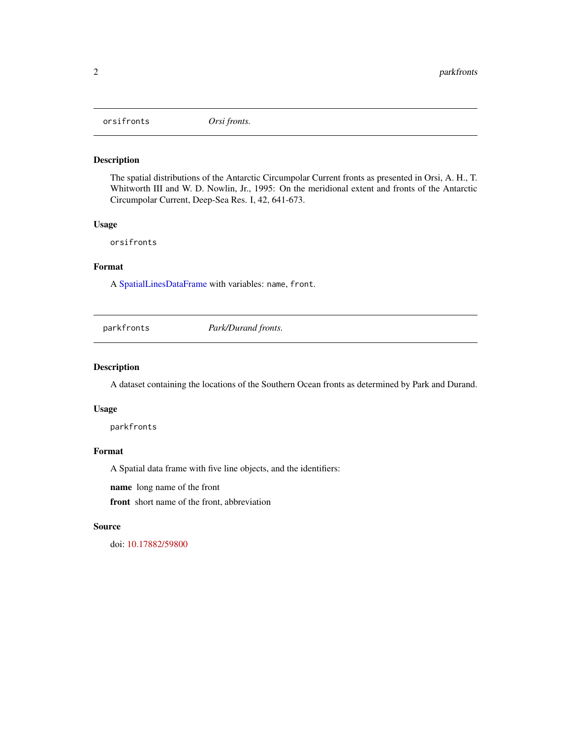<span id="page-1-0"></span>orsifronts *Orsi fronts.*

#### Description

The spatial distributions of the Antarctic Circumpolar Current fronts as presented in Orsi, A. H., T. Whitworth III and W. D. Nowlin, Jr., 1995: On the meridional extent and fronts of the Antarctic Circumpolar Current, Deep-Sea Res. I, 42, 641-673.

#### Usage

orsifronts

#### Format

A [SpatialLinesDataFrame](#page-0-0) with variables: name, front.

parkfronts *Park/Durand fronts.*

#### Description

A dataset containing the locations of the Southern Ocean fronts as determined by Park and Durand.

#### Usage

parkfronts

#### Format

A Spatial data frame with five line objects, and the identifiers:

name long name of the front

front short name of the front, abbreviation

#### Source

doi: [10.17882/59800](https://doi.org/10.17882/59800)